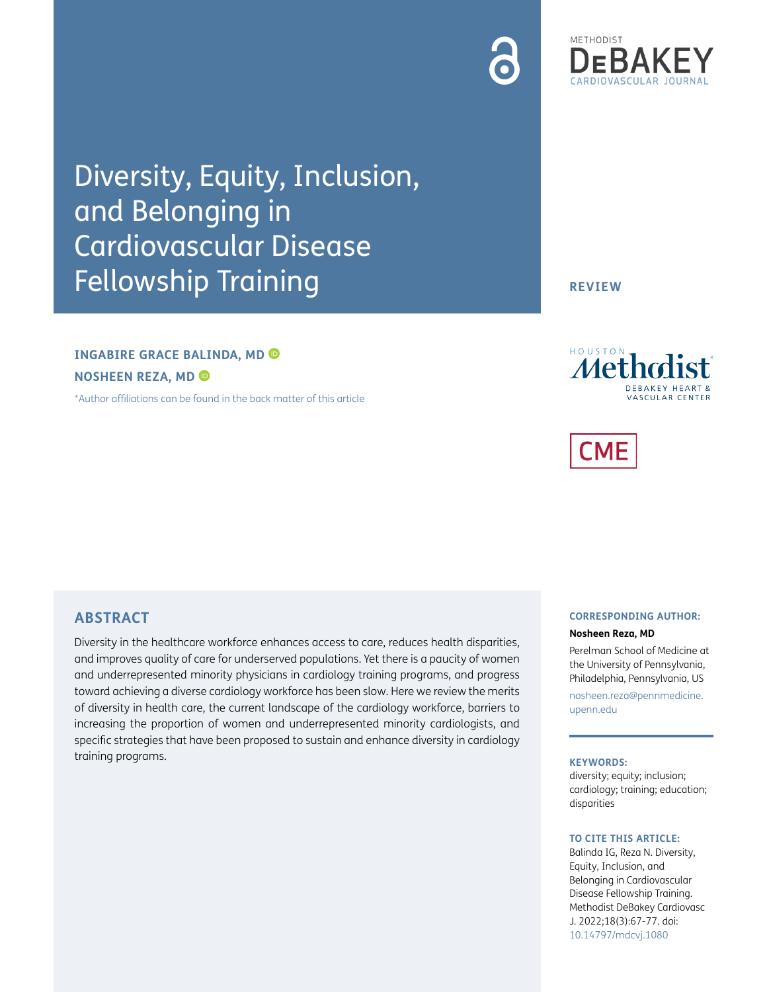# Diversity, Equity, Inclusion, and Belonging in Cardiovascular Disease Fellowship Training

# **INGABIRE GRACE BALINDA, MD NOSHEEN REZA, MD**

[\\*Author affiliations can be found in the back matter of this article](#page-7-0)

**REVIEW**



# **ABSTRACT**

Diversity in the healthcare workforce enhances access to care, reduces health disparities, and improves quality of care for underserved populations. Yet there is a paucity of women and underrepresented minority physicians in cardiology training programs, and progress toward achieving a diverse cardiology workforce has been slow. Here we review the merits of diversity in health care, the current landscape of the cardiology workforce, barriers to increasing the proportion of women and underrepresented minority cardiologists, and specific strategies that have been proposed to sustain and enhance diversity in cardiology training programs.

#### **CORRESPONDING AUTHOR:**

#### **Nosheen Reza, MD**

Perelman School of Medicine at the University of Pennsylvania, Philadelphia, Pennsylvania, US

[nosheen.reza@pennmedicine.](mailto:nosheen.reza@pennmedicine.upenn.edu) [upenn.edu](mailto:nosheen.reza@pennmedicine.upenn.edu)

#### **KEYWORDS:**

diversity; equity; inclusion; cardiology; training; education; disparities

#### **TO CITE THIS ARTICLE:**

Balinda IG, Reza N. Diversity, Equity, Inclusion, and Belonging in Cardiovascular Disease Fellowship Training. Methodist DeBakey Cardiovasc J. 2022;18(3):67-77. doi: [10.14797/mdcvj.1080](https://doi.org/ 10.14797/mdcvj.1080)

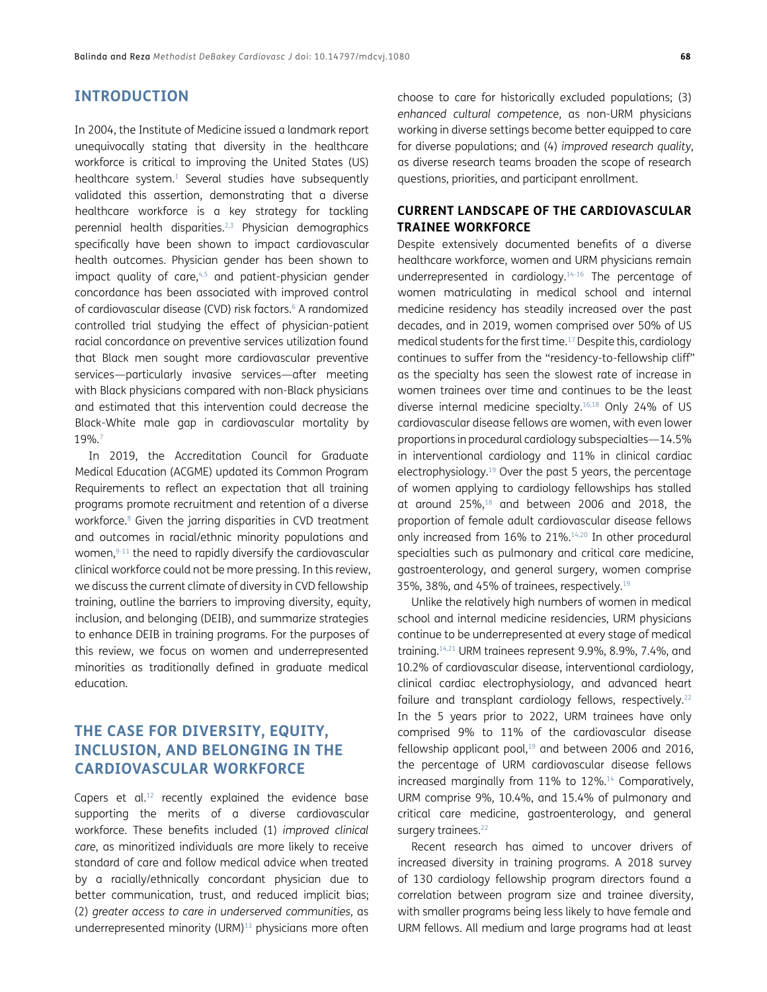# **INTRODUCTION**

In 2004, the Institute of Medicine issued a landmark report unequivocally stating that diversity in the healthcare workforce is critical to improving the United States (US) healthcare system.<sup>1</sup> Several studies have subsequently validated this assertion, demonstrating that a diverse healthcare workforce is a key strategy for tackling perennial health disparities[.2](#page-7-2),[3](#page-7-3) Physician demographics specifically have been shown to impact cardiovascular health outcomes. Physician gender has been shown to impact quality of care, $4,5$  $4,5$  and patient-physician gender concordance has been associated with improved control of cardiovascular disease (CVD) risk factors.<sup>6</sup> A randomized controlled trial studying the effect of physician-patient racial concordance on preventive services utilization found that Black men sought more cardiovascular preventive services—particularly invasive services—after meeting with Black physicians compared with non-Black physicians and estimated that this intervention could decrease the Black-White male gap in cardiovascular mortality by 19%[.7](#page-7-7)

In 2019, the Accreditation Council for Graduate Medical Education (ACGME) updated its Common Program Requirements to reflect an expectation that all training programs promote recruitment and retention of a diverse workforce.<sup>8</sup> Given the jarring disparities in CVD treatment and outcomes in racial/ethnic minority populations and women, [9-](#page-7-9)[11](#page-7-10) the need to rapidly diversify the cardiovascular clinical workforce could not be more pressing. In this review, we discuss the current climate of diversity in CVD fellowship training, outline the barriers to improving diversity, equity, inclusion, and belonging (DEIB), and summarize strategies to enhance DEIB in training programs. For the purposes of this review, we focus on women and underrepresented minorities as traditionally defined in graduate medical education.

# **THE CASE FOR DIVERSITY, EQUITY, INCLUSION, AND BELONGING IN THE CARDIOVASCULAR WORKFORCE**

Capers et  $al^{12}$  recently explained the evidence base supporting the merits of a diverse cardiovascular workforce. These benefits included (1) *improved clinical care*, as minoritized individuals are more likely to receive standard of care and follow medical advice when treated by a racially/ethnically concordant physician due to better communication, trust, and reduced implicit bias; (2) *greater access to care in underserved communities*, as underrepresented minority (URM)<sup>13</sup> physicians more often

choose to care for historically excluded populations; (3) *enhanced cultural competence*, as non-URM physicians working in diverse settings become better equipped to care for diverse populations; and (4) *improved research quality*, as diverse research teams broaden the scope of research questions, priorities, and participant enrollment.

## **CURRENT LANDSCAPE OF THE CARDIOVASCULAR TRAINEE WORKFORCE**

Despite extensively documented benefits of a diverse healthcare workforce, women and URM physicians remain underrepresented in cardiology. $14-16$  $14-16$  The percentage of women matriculating in medical school and internal medicine residency has steadily increased over the past decades, and in 2019, women comprised over 50% of US medical students for the first time[.17](#page-8-4) Despite this, cardiology continues to suffer from the "residency-to-fellowship cliff" as the specialty has seen the slowest rate of increase in women trainees over time and continues to be the least diverse internal medicine specialty[.16](#page-8-3),[18](#page-8-5) Only 24% of US cardiovascular disease fellows are women, with even lower proportions in procedural cardiology subspecialties—14.5% in interventional cardiology and 11% in clinical cardiac electrophysiology.<sup>19</sup> Over the past 5 years, the percentage of women applying to cardiology fellowships has stalled at around 25%[,18](#page-8-5) and between 2006 and 2018, the proportion of female adult cardiovascular disease fellows only increased from 16% to 21%.<sup>[14](#page-8-2)[,20](#page-8-7)</sup> In other procedural specialties such as pulmonary and critical care medicine, gastroenterology, and general surgery, women comprise 35%, 38%, and 45% of trainees, respectively[.19](#page-8-6)

Unlike the relatively high numbers of women in medical school and internal medicine residencies, URM physicians continue to be underrepresented at every stage of medical training.[14,](#page-8-2)[21](#page-8-8) URM trainees represent 9.9%, 8.9%, 7.4%, and 10.2% of cardiovascular disease, interventional cardiology, clinical cardiac electrophysiology, and advanced heart failure and transplant cardiology fellows, respectively.<sup>22</sup> In the 5 years prior to 2022, URM trainees have only comprised 9% to 11% of the cardiovascular disease fellowship applicant pool, $19$  and between 2006 and 2016, the percentage of URM cardiovascular disease fellows increased marginally from 11% to 12%.<sup>14</sup> Comparatively, URM comprise 9%, 10.4%, and 15.4% of pulmonary and critical care medicine, gastroenterology, and general surgery trainees.<sup>[22](#page-8-9)</sup>

Recent research has aimed to uncover drivers of increased diversity in training programs. A 2018 survey of 130 cardiology fellowship program directors found a correlation between program size and trainee diversity, with smaller programs being less likely to have female and URM fellows. All medium and large programs had at least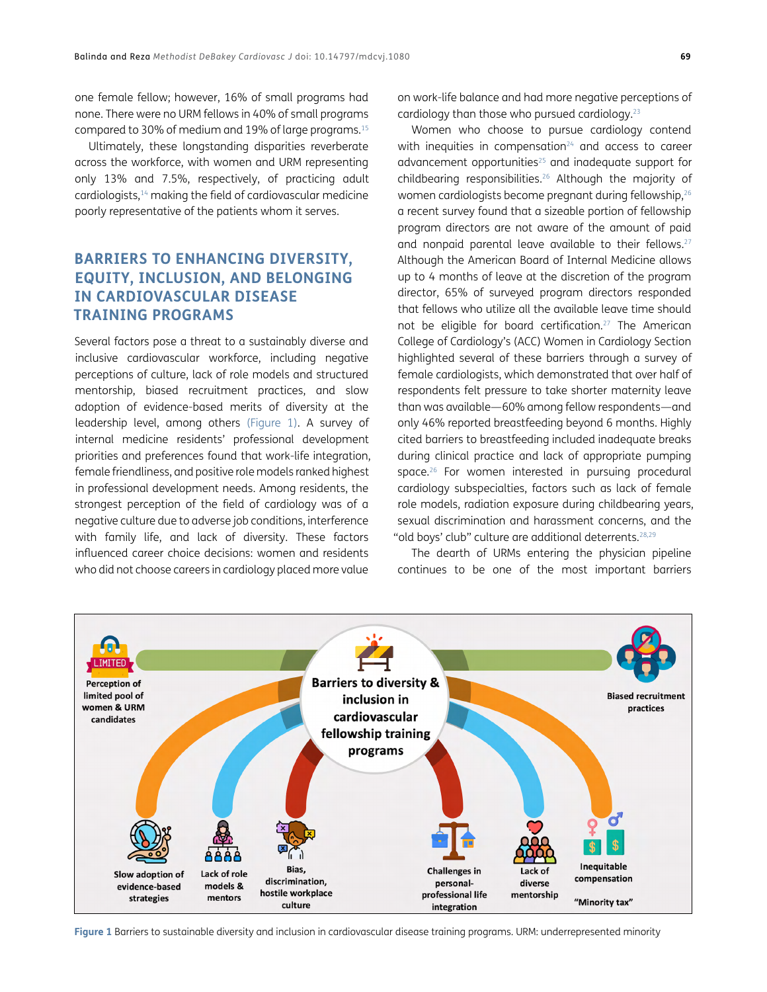one female fellow; however, 16% of small programs had none. There were no URM fellows in 40% of small programs compared to 30% of medium and 19% of large programs[.15](#page-8-10)

Ultimately, these longstanding disparities reverberate across the workforce, with women and URM representing only 13% and 7.5%, respectively, of practicing adult cardiologists[,14](#page-8-2) making the field of cardiovascular medicine poorly representative of the patients whom it serves.

# **BARRIERS TO ENHANCING DIVERSITY, EQUITY, INCLUSION, AND BELONGING IN CARDIOVASCULAR DISEASE TRAINING PROGRAMS**

Several factors pose a threat to a sustainably diverse and inclusive cardiovascular workforce, including negative perceptions of culture, lack of role models and structured mentorship, biased recruitment practices, and slow adoption of evidence-based merits of diversity at the leadership level, among others [\(Figure 1\)](#page-2-0). A survey of internal medicine residents' professional development priorities and preferences found that work-life integration, female friendliness, and positive role models ranked highest in professional development needs. Among residents, the strongest perception of the field of cardiology was of a negative culture due to adverse job conditions, interference with family life, and lack of diversity. These factors influenced career choice decisions: women and residents who did not choose careers in cardiology placed more value

on work-life balance and had more negative perceptions of cardiology than those who pursued cardiology[.23](#page-8-11)

Women who choose to pursue cardiology contend with inequities in compensation $24$  and access to career advancement opportunities<sup>25</sup> and inadequate support for childbearing responsibilities[.26](#page-8-14) Although the majority of women cardiologists become pregnant during fellowship, <sup>26</sup> a recent survey found that a sizeable portion of fellowship program directors are not aware of the amount of paid and nonpaid parental leave available to their fellows.<sup>27</sup> Although the American Board of Internal Medicine allows up to 4 months of leave at the discretion of the program director, 65% of surveyed program directors responded that fellows who utilize all the available leave time should not be eligible for board certification.<sup>27</sup> The American College of Cardiology's (ACC) Women in Cardiology Section highlighted several of these barriers through a survey of female cardiologists, which demonstrated that over half of respondents felt pressure to take shorter maternity leave than was available—60% among fellow respondents—and only 46% reported breastfeeding beyond 6 months. Highly cited barriers to breastfeeding included inadequate breaks during clinical practice and lack of appropriate pumping space.<sup>[26](#page-8-14)</sup> For women interested in pursuing procedural cardiology subspecialties, factors such as lack of female role models, radiation exposure during childbearing years, sexual discrimination and harassment concerns, and the "old boys' club" culture are additional deterrents.<sup>[28,](#page-8-16)[29](#page-8-17)</sup>

The dearth of URMs entering the physician pipeline continues to be one of the most important barriers



<span id="page-2-0"></span>**Figure 1** Barriers to sustainable diversity and inclusion in cardiovascular disease training programs. URM: underrepresented minority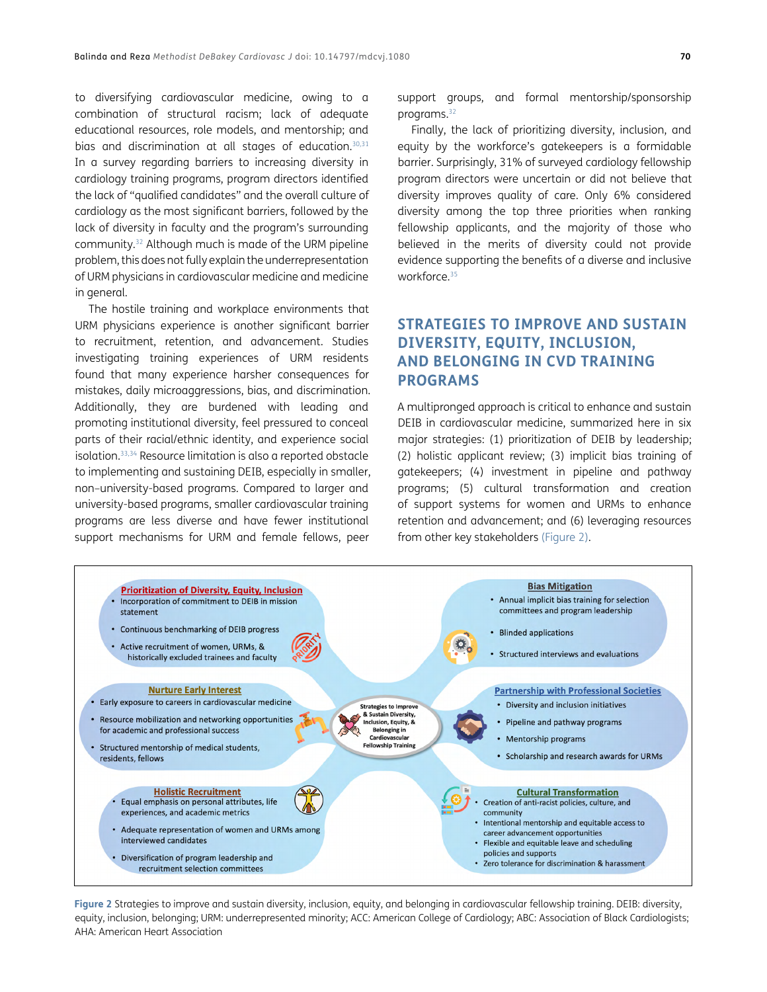to diversifying cardiovascular medicine, owing to a combination of structural racism; lack of adequate educational resources, role models, and mentorship; and bias and discrimination at all stages of education.<sup>30,[31](#page-8-19)</sup> In a survey regarding barriers to increasing diversity in cardiology training programs, program directors identified the lack of "qualified candidates" and the overall culture of cardiology as the most significant barriers, followed by the lack of diversity in faculty and the program's surrounding community[.32](#page-8-20) Although much is made of the URM pipeline problem, this does not fully explain the underrepresentation of URM physicians in cardiovascular medicine and medicine in general.

The hostile training and workplace environments that URM physicians experience is another significant barrier to recruitment, retention, and advancement. Studies investigating training experiences of URM residents found that many experience harsher consequences for mistakes, daily microaggressions, bias, and discrimination. Additionally, they are burdened with leading and promoting institutional diversity, feel pressured to conceal parts of their racial/ethnic identity, and experience social isolation[.33](#page-8-1),[34](#page-9-0) Resource limitation is also a reported obstacle to implementing and sustaining DEIB, especially in smaller, non–university-based programs. Compared to larger and university-based programs, smaller cardiovascular training programs are less diverse and have fewer institutional support mechanisms for URM and female fellows, peer

support groups, and formal mentorship/sponsorship programs[.32](#page-8-20)

Finally, the lack of prioritizing diversity, inclusion, and equity by the workforce's gatekeepers is a formidable barrier. Surprisingly, 31% of surveyed cardiology fellowship program directors were uncertain or did not believe that diversity improves quality of care. Only 6% considered diversity among the top three priorities when ranking fellowship applicants, and the majority of those who believed in the merits of diversity could not provide evidence supporting the benefits of a diverse and inclusive workforce.<sup>35</sup>

# **STRATEGIES TO IMPROVE AND SUSTAIN DIVERSITY, EQUITY, INCLUSION, AND BELONGING IN CVD TRAINING PROGRAMS**

A multipronged approach is critical to enhance and sustain DEIB in cardiovascular medicine, summarized here in six major strategies: (1) prioritization of DEIB by leadership; (2) holistic applicant review; (3) implicit bias training of gatekeepers; (4) investment in pipeline and pathway programs; (5) cultural transformation and creation of support systems for women and URMs to enhance retention and advancement; and (6) leveraging resources from other key stakeholders [\(Figure 2\)](#page-3-0).



<span id="page-3-0"></span>**Figure 2** Strategies to improve and sustain diversity, inclusion, equity, and belonging in cardiovascular fellowship training. DEIB: diversity, equity, inclusion, belonging; URM: underrepresented minority; ACC: American College of Cardiology; ABC: Association of Black Cardiologists; AHA: American Heart Association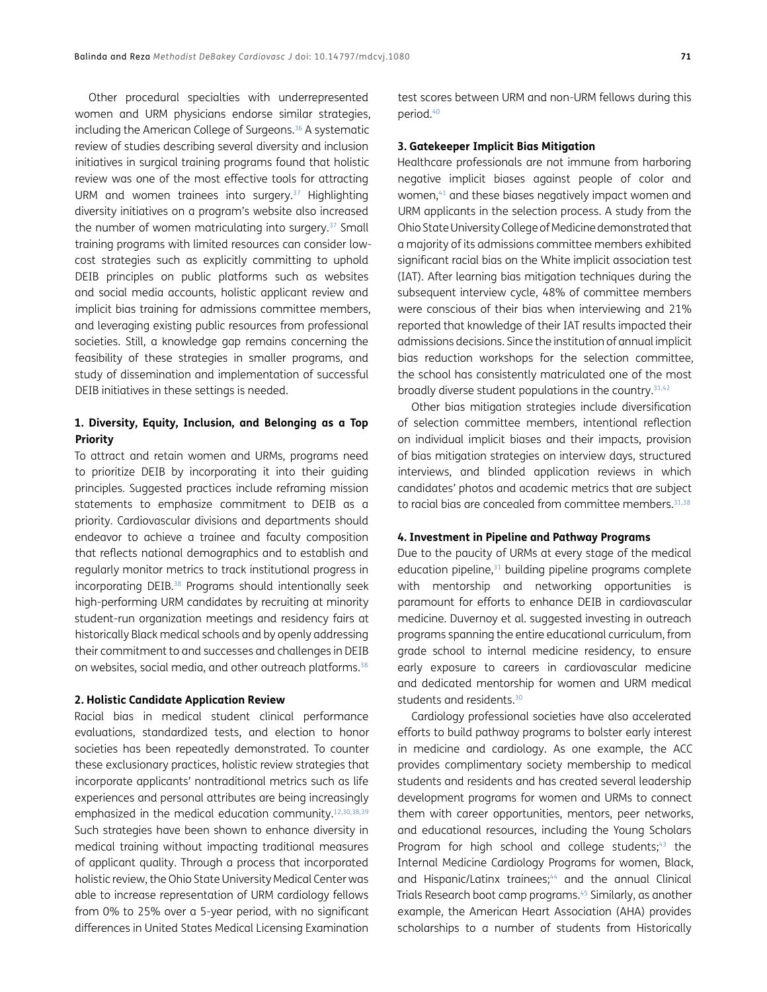Other procedural specialties with underrepresented women and URM physicians endorse similar strategies, including the American College of Surgeons.<sup>36</sup> A systematic review of studies describing several diversity and inclusion initiatives in surgical training programs found that holistic review was one of the most effective tools for attracting URM and women trainees into surgery.<sup>[37](#page-9-3)</sup> Highlighting diversity initiatives on a program's website also increased the number of women matriculating into surgery.[37](#page-9-3) Small training programs with limited resources can consider lowcost strategies such as explicitly committing to uphold DEIB principles on public platforms such as websites and social media accounts, holistic applicant review and implicit bias training for admissions committee members, and leveraging existing public resources from professional societies. Still, a knowledge gap remains concerning the feasibility of these strategies in smaller programs, and study of dissemination and implementation of successful DEIB initiatives in these settings is needed.

#### **1. Diversity, Equity, Inclusion, and Belonging as a Top Priority**

To attract and retain women and URMs, programs need to prioritize DEIB by incorporating it into their guiding principles. Suggested practices include reframing mission statements to emphasize commitment to DEIB as a priority. Cardiovascular divisions and departments should endeavor to achieve a trainee and faculty composition that reflects national demographics and to establish and regularly monitor metrics to track institutional progress in incorporating DEIB.<sup>38</sup> Programs should intentionally seek high-performing URM candidates by recruiting at minority student-run organization meetings and residency fairs at historically Black medical schools and by openly addressing their commitment to and successes and challenges in DEIB on websites, social media, and other outreach platforms.<sup>[38](#page-9-4)</sup>

#### **2. Holistic Candidate Application Review**

Racial bias in medical student clinical performance evaluations, standardized tests, and election to honor societies has been repeatedly demonstrated. To counter these exclusionary practices, holistic review strategies that incorporate applicants' nontraditional metrics such as life experiences and personal attributes are being increasingly emphasized in the medical education community.<sup>12,[30,](#page-8-18)[38](#page-9-4)[,39](#page-9-5)</sup> Such strategies have been shown to enhance diversity in medical training without impacting traditional measures of applicant quality. Through a process that incorporated holistic review, the Ohio State University Medical Center was able to increase representation of URM cardiology fellows from 0% to 25% over a 5-year period, with no significant differences in United States Medical Licensing Examination test scores between URM and non-URM fellows during this period[.40](#page-9-6)

#### **3. Gatekeeper Implicit Bias Mitigation**

Healthcare professionals are not immune from harboring negative implicit biases against people of color and women,<sup>41</sup> and these biases negatively impact women and URM applicants in the selection process. A study from the Ohio State University College of Medicine demonstrated that a majority of its admissions committee members exhibited significant racial bias on the White implicit association test (IAT). After learning bias mitigation techniques during the subsequent interview cycle, 48% of committee members were conscious of their bias when interviewing and 21% reported that knowledge of their IAT results impacted their admissions decisions. Since the institution of annual implicit bias reduction workshops for the selection committee, the school has consistently matriculated one of the most broadly diverse student populations in the country.<sup>[31](#page-8-19),42</sup>

Other bias mitigation strategies include diversification of selection committee members, intentional reflection on individual implicit biases and their impacts, provision of bias mitigation strategies on interview days, structured interviews, and blinded application reviews in which candidates' photos and academic metrics that are subject to racial bias are concealed from committee members.<sup>31[,38](#page-9-4)</sup>

#### **4. Investment in Pipeline and Pathway Programs**

Due to the paucity of URMs at every stage of the medical education pipeline,<sup>31</sup> building pipeline programs complete with mentorship and networking opportunities is paramount for efforts to enhance DEIB in cardiovascular medicine. Duvernoy et al. suggested investing in outreach programs spanning the entire educational curriculum, from grade school to internal medicine residency, to ensure early exposure to careers in cardiovascular medicine and dedicated mentorship for women and URM medical students and residents.<sup>30</sup>

Cardiology professional societies have also accelerated efforts to build pathway programs to bolster early interest in medicine and cardiology. As one example, the ACC provides complimentary society membership to medical students and residents and has created several leadership development programs for women and URMs to connect them with career opportunities, mentors, peer networks, and educational resources, including the Young Scholars Program for high school and college students; $43$  the Internal Medicine Cardiology Programs for women, Black, and Hispanic/Latinx trainees; $44$  and the annual Clinical Trials Research boot camp programs[.45](#page-9-11) Similarly, as another example, the American Heart Association (AHA) provides scholarships to a number of students from Historically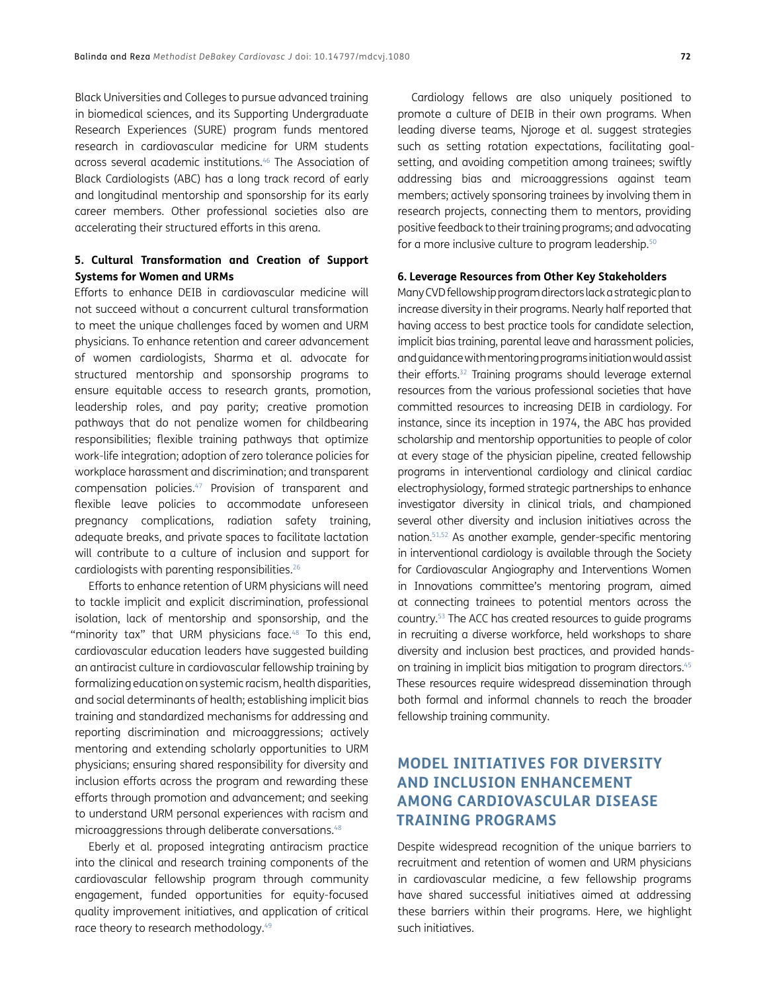Black Universities and Colleges to pursue advanced training in biomedical sciences, and its Supporting Undergraduate Research Experiences (SURE) program funds mentored research in cardiovascular medicine for URM students across several academic institutions.[46](#page-9-12) The Association of Black Cardiologists (ABC) has a long track record of early and longitudinal mentorship and sponsorship for its early career members. Other professional societies also are accelerating their structured efforts in this arena.

### **5. Cultural Transformation and Creation of Support Systems for Women and URMs**

Efforts to enhance DEIB in cardiovascular medicine will not succeed without a concurrent cultural transformation to meet the unique challenges faced by women and URM physicians. To enhance retention and career advancement of women cardiologists, Sharma et al. advocate for structured mentorship and sponsorship programs to ensure equitable access to research grants, promotion, leadership roles, and pay parity; creative promotion pathways that do not penalize women for childbearing responsibilities; flexible training pathways that optimize work-life integration; adoption of zero tolerance policies for workplace harassment and discrimination; and transparent compensation policies.[47](#page-9-13) Provision of transparent and flexible leave policies to accommodate unforeseen pregnancy complications, radiation safety training, adequate breaks, and private spaces to facilitate lactation will contribute to a culture of inclusion and support for cardiologists with parenting responsibilities.[26](#page-8-14)

Efforts to enhance retention of URM physicians will need to tackle implicit and explicit discrimination, professional isolation, lack of mentorship and sponsorship, and the "minority tax" that URM physicians face.<sup>[48](#page-9-14)</sup> To this end, cardiovascular education leaders have suggested building an antiracist culture in cardiovascular fellowship training by formalizing education on systemic racism, health disparities, and social determinants of health; establishing implicit bias training and standardized mechanisms for addressing and reporting discrimination and microaggressions; actively mentoring and extending scholarly opportunities to URM physicians; ensuring shared responsibility for diversity and inclusion efforts across the program and rewarding these efforts through promotion and advancement; and seeking to understand URM personal experiences with racism and microaggressions through deliberate conversations.[48](#page-9-14)

Eberly et al. proposed integrating antiracism practice into the clinical and research training components of the cardiovascular fellowship program through community engagement, funded opportunities for equity-focused quality improvement initiatives, and application of critical race theory to research methodology.<sup>49</sup>

Cardiology fellows are also uniquely positioned to promote a culture of DEIB in their own programs. When leading diverse teams, Njoroge et al. suggest strategies such as setting rotation expectations, facilitating goalsetting, and avoiding competition among trainees; swiftly addressing bias and microaggressions against team members; actively sponsoring trainees by involving them in research projects, connecting them to mentors, providing positive feedback to their training programs; and advocating for a more inclusive culture to program leadership.<sup>50</sup>

#### **6. Leverage Resources from Other Key Stakeholders**

Many CVD fellowship program directors lack a strategic plan to increase diversity in their programs. Nearly half reported that having access to best practice tools for candidate selection, implicit bias training, parental leave and harassment policies, and guidance with mentoring programs initiation would assist their efforts[.32](#page-8-20) Training programs should leverage external resources from the various professional societies that have committed resources to increasing DEIB in cardiology. For instance, since its inception in 1974, the ABC has provided scholarship and mentorship opportunities to people of color at every stage of the physician pipeline, created fellowship programs in interventional cardiology and clinical cardiac electrophysiology, formed strategic partnerships to enhance investigator diversity in clinical trials, and championed several other diversity and inclusion initiatives across the nation[.51](#page-9-17)[,52](#page-9-18) As another example, gender-specific mentoring in interventional cardiology is available through the Society for Cardiovascular Angiography and Interventions Women in Innovations committee's mentoring program, aimed at connecting trainees to potential mentors across the country.[53](#page-9-19) The ACC has created resources to guide programs in recruiting a diverse workforce, held workshops to share diversity and inclusion best practices, and provided handson training in implicit bias mitigation to program directors[.45](#page-9-11) These resources require widespread dissemination through both formal and informal channels to reach the broader fellowship training community.

# **MODEL INITIATIVES FOR DIVERSITY AND INCLUSION ENHANCEMENT AMONG CARDIOVASCULAR DISEASE TRAINING PROGRAMS**

Despite widespread recognition of the unique barriers to recruitment and retention of women and URM physicians in cardiovascular medicine, a few fellowship programs have shared successful initiatives aimed at addressing these barriers within their programs. Here, we highlight such initiatives.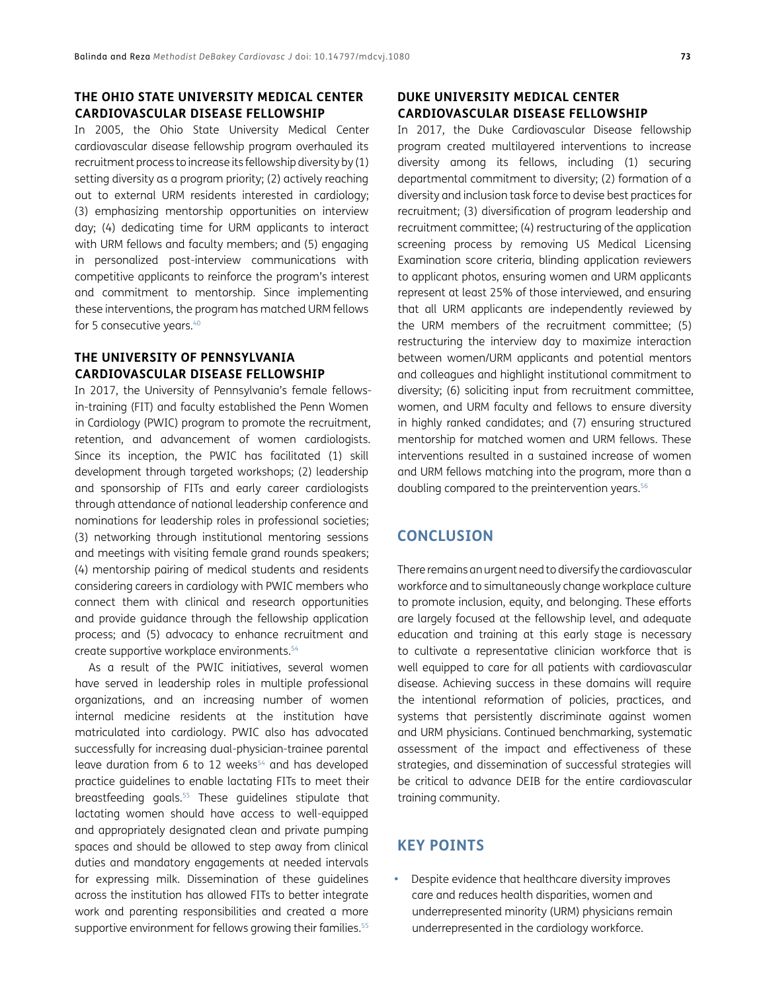## **THE OHIO STATE UNIVERSITY MEDICAL CENTER CARDIOVASCULAR DISEASE FELLOWSHIP**

In 2005, the Ohio State University Medical Center cardiovascular disease fellowship program overhauled its recruitment process to increase its fellowship diversity by (1) setting diversity as a program priority; (2) actively reaching out to external URM residents interested in cardiology; (3) emphasizing mentorship opportunities on interview day; (4) dedicating time for URM applicants to interact with URM fellows and faculty members; and (5) engaging in personalized post-interview communications with competitive applicants to reinforce the program's interest and commitment to mentorship. Since implementing these interventions, the program has matched URM fellows for 5 consecutive years.<sup>40</sup>

## **THE UNIVERSITY OF PENNSYLVANIA CARDIOVASCULAR DISEASE FELLOWSHIP**

In 2017, the University of Pennsylvania's female fellowsin-training (FIT) and faculty established the Penn Women in Cardiology (PWIC) program to promote the recruitment, retention, and advancement of women cardiologists. Since its inception, the PWIC has facilitated (1) skill development through targeted workshops; (2) leadership and sponsorship of FITs and early career cardiologists through attendance of national leadership conference and nominations for leadership roles in professional societies; (3) networking through institutional mentoring sessions and meetings with visiting female grand rounds speakers; (4) mentorship pairing of medical students and residents considering careers in cardiology with PWIC members who connect them with clinical and research opportunities and provide guidance through the fellowship application process; and (5) advocacy to enhance recruitment and create supportive workplace environments[.54](#page-9-20)

As a result of the PWIC initiatives, several women have served in leadership roles in multiple professional organizations, and an increasing number of women internal medicine residents at the institution have matriculated into cardiology. PWIC also has advocated successfully for increasing dual-physician-trainee parental leave duration from 6 to 12 weeks<sup>54</sup> and has developed practice guidelines to enable lactating FITs to meet their breastfeeding goals.<sup>55</sup> These guidelines stipulate that lactating women should have access to well-equipped and appropriately designated clean and private pumping spaces and should be allowed to step away from clinical duties and mandatory engagements at needed intervals for expressing milk. Dissemination of these guidelines across the institution has allowed FITs to better integrate work and parenting responsibilities and created a more supportive environment for fellows growing their families.<sup>55</sup>

## **DUKE UNIVERSITY MEDICAL CENTER CARDIOVASCULAR DISEASE FELLOWSHIP**

In 2017, the Duke Cardiovascular Disease fellowship program created multilayered interventions to increase diversity among its fellows, including (1) securing departmental commitment to diversity; (2) formation of a diversity and inclusion task force to devise best practices for recruitment; (3) diversification of program leadership and recruitment committee; (4) restructuring of the application screening process by removing US Medical Licensing Examination score criteria, blinding application reviewers to applicant photos, ensuring women and URM applicants represent at least 25% of those interviewed, and ensuring that all URM applicants are independently reviewed by the URM members of the recruitment committee; (5) restructuring the interview day to maximize interaction between women/URM applicants and potential mentors and colleagues and highlight institutional commitment to diversity; (6) soliciting input from recruitment committee, women, and URM faculty and fellows to ensure diversity in highly ranked candidates; and (7) ensuring structured mentorship for matched women and URM fellows. These interventions resulted in a sustained increase of women and URM fellows matching into the program, more than a doubling compared to the preintervention years.<sup>56</sup>

# **CONCLUSION**

There remains an urgent need to diversify the cardiovascular workforce and to simultaneously change workplace culture to promote inclusion, equity, and belonging. These efforts are largely focused at the fellowship level, and adequate education and training at this early stage is necessary to cultivate a representative clinician workforce that is well equipped to care for all patients with cardiovascular disease. Achieving success in these domains will require the intentional reformation of policies, practices, and systems that persistently discriminate against women and URM physicians. Continued benchmarking, systematic assessment of the impact and effectiveness of these strategies, and dissemination of successful strategies will be critical to advance DEIB for the entire cardiovascular training community.

## **KEY POINTS**

**•**  Despite evidence that healthcare diversity improves care and reduces health disparities, women and underrepresented minority (URM) physicians remain underrepresented in the cardiology workforce.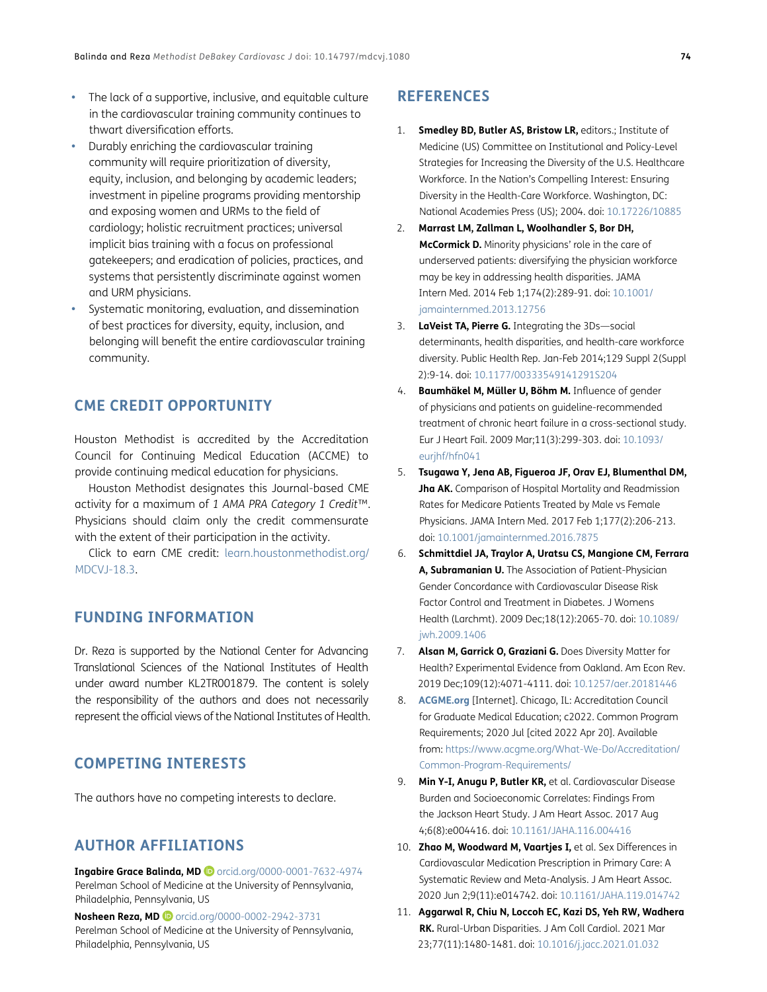- The lack of a supportive, inclusive, and equitable culture in the cardiovascular training community continues to thwart diversification efforts.
- **Durably enriching the cardiovascular training** community will require prioritization of diversity, equity, inclusion, and belonging by academic leaders; investment in pipeline programs providing mentorship and exposing women and URMs to the field of cardiology; holistic recruitment practices; universal implicit bias training with a focus on professional gatekeepers; and eradication of policies, practices, and systems that persistently discriminate against women and URM physicians.
- Systematic monitoring, evaluation, and dissemination of best practices for diversity, equity, inclusion, and belonging will benefit the entire cardiovascular training community.

# **CME CREDIT OPPORTUNITY**

Houston Methodist is accredited by the Accreditation Council for Continuing Medical Education (ACCME) to provide continuing medical education for physicians.

Houston Methodist designates this Journal-based CME activity for a maximum of *1 AMA PRA Category 1 Credit*™. Physicians should claim only the credit commensurate with the extent of their participation in the activity.

Click to earn CME credit: [learn.houstonmethodist.org/](https://learn.houstonmethodist.org/MDCVJ-18.3) [MDCVJ-18.3.](https://learn.houstonmethodist.org/MDCVJ-18.3)

# **FUNDING INFORMATION**

Dr. Reza is supported by the National Center for Advancing Translational Sciences of the National Institutes of Health under award number KL2TR001879. The content is solely the responsibility of the authors and does not necessarily represent the official views of the National Institutes of Health.

# **COMPETING INTERESTS**

The authors have no competing interests to declare.

## <span id="page-7-0"></span>**AUTHOR AFFILIATIONS**

**Ingabire Grace Balinda, MD** [orcid.org/0000-0001-7632-4974](https://orcid.org/0000-0001-7632-4974) Perelman School of Medicine at the University of Pennsylvania, Philadelphia, Pennsylvania, US

**Nosheen Reza, MD D** [orcid.org/0000-0002-2942-3731](https://orcid.org/0000-0002-2942-3731) Perelman School of Medicine at the University of Pennsylvania, Philadelphia, Pennsylvania, US

# **REFERENCES**

- <span id="page-7-1"></span>1. **Smedley BD, Butler AS, Bristow LR,** editors.; Institute of Medicine (US) Committee on Institutional and Policy-Level Strategies for Increasing the Diversity of the U.S. Healthcare Workforce. In the Nation's Compelling Interest: Ensuring Diversity in the Health-Care Workforce. Washington, DC: National Academies Press (US); 2004. doi: [10.17226/10885](https://doi.org/10.17226/10885)
- <span id="page-7-2"></span>2. **Marrast LM, Zallman L, Woolhandler S, Bor DH, McCormick D.** Minority physicians' role in the care of underserved patients: diversifying the physician workforce may be key in addressing health disparities. JAMA Intern Med. 2014 Feb 1;174(2):289-91. doi: [10.1001/](https://doi.org/10.1001/jamainternmed.2013.12756) [jamainternmed.2013.12756](https://doi.org/10.1001/jamainternmed.2013.12756)
- <span id="page-7-3"></span>3. **LaVeist TA, Pierre G.** Integrating the 3Ds—social determinants, health disparities, and health-care workforce diversity. Public Health Rep. Jan-Feb 2014;129 Suppl 2(Suppl 2):9-14. doi: [10.1177/00333549141291S204](https://doi.org/10.1177/00333549141291S204)
- <span id="page-7-4"></span>4. **Baumhäkel M, Müller U, Böhm M.** Influence of gender of physicians and patients on guideline-recommended treatment of chronic heart failure in a cross-sectional study. Eur J Heart Fail. 2009 Mar;11(3):299-303. doi: [10.1093/](https://doi.org/10.1093/eurjhf/hfn041) [eurjhf/hfn041](https://doi.org/10.1093/eurjhf/hfn041)
- <span id="page-7-5"></span>5. **Tsugawa Y, Jena AB, Figueroa JF, Orav EJ, Blumenthal DM, Jha AK.** Comparison of Hospital Mortality and Readmission Rates for Medicare Patients Treated by Male vs Female Physicians. JAMA Intern Med. 2017 Feb 1;177(2):206-213. doi: [10.1001/jamainternmed.2016.7875](https://doi.org/10.1001/jamainternmed.2016.7875)
- <span id="page-7-6"></span>6. **Schmittdiel JA, Traylor A, Uratsu CS, Mangione CM, Ferrara A, Subramanian U.** The Association of Patient-Physician Gender Concordance with Cardiovascular Disease Risk Factor Control and Treatment in Diabetes. J Womens Health (Larchmt). 2009 Dec;18(12):2065-70. doi: [10.1089/](https://doi.org/10.1089/jwh.2009.1406) [jwh.2009.1406](https://doi.org/10.1089/jwh.2009.1406)
- <span id="page-7-7"></span>7. **Alsan M, Garrick O, Graziani G.** Does Diversity Matter for Health? Experimental Evidence from Oakland. Am Econ Rev. 2019 Dec;109(12):4071-4111. doi: [10.1257/aer.20181446](https://doi.org/10.1257/aer.20181446)
- <span id="page-7-8"></span>8. **[ACGME.org](http://ACGME.org)** [Internet]. Chicago, IL: Accreditation Council for Graduate Medical Education; c2022. Common Program Requirements; 2020 Jul [cited 2022 Apr 20]. Available from: [https://www.acgme.org/What-We-Do/Accreditation/](https://www.acgme.org/What-We-Do/Accreditation/Common-Program-Requirements/ ) [Common-Program-Requirements/](https://www.acgme.org/What-We-Do/Accreditation/Common-Program-Requirements/ )
- <span id="page-7-9"></span>9. **Min Y-I, Anugu P, Butler KR,** et al. Cardiovascular Disease Burden and Socioeconomic Correlates: Findings From the Jackson Heart Study. J Am Heart Assoc. 2017 Aug 4;6(8):e004416. doi: [10.1161/JAHA.116.004416](https://doi.org/10.1161/JAHA.116.004416)
- 10. **Zhao M, Woodward M, Vaartjes I,** et al. Sex Differences in Cardiovascular Medication Prescription in Primary Care: A Systematic Review and Meta-Analysis. J Am Heart Assoc. 2020 Jun 2;9(11):e014742. doi: [10.1161/JAHA.119.014742](https://doi.org/10.1161/JAHA.119.014742)
- <span id="page-7-10"></span>11. **Aggarwal R, Chiu N, Loccoh EC, Kazi DS, Yeh RW, Wadhera RK.** Rural-Urban Disparities. J Am Coll Cardiol. 2021 Mar 23;77(11):1480-1481. doi: [10.1016/j.jacc.2021.01.032](https://doi.org/10.1016/j.jacc.2021.01.032)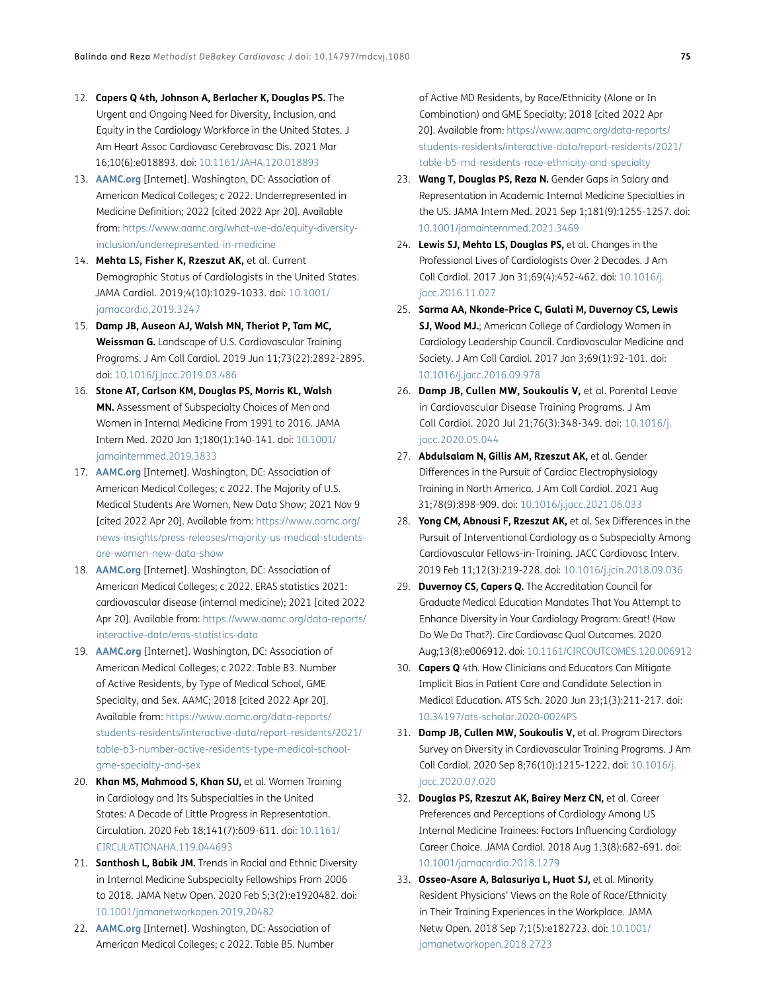- <span id="page-8-0"></span>12. **Capers Q 4th, Johnson A, Berlacher K, Douglas PS.** The Urgent and Ongoing Need for Diversity, Inclusion, and Equity in the Cardiology Workforce in the United States. J Am Heart Assoc Cardiovasc Cerebrovasc Dis. 2021 Mar 16;10(6):e018893. doi: [10.1161/JAHA.120.018893](https://doi.org/10.1161/JAHA.120.018893)
- 13. **[AAMC.org](http://AAMC.org)** [Internet]. Washington, DC: Association of American Medical Colleges; c 2022. Underrepresented in Medicine Definition; 2022 [cited 2022 Apr 20]. Available from: [https://www.aamc.org/what-we-do/equity-diversity](https://www.aamc.org/what-we-do/equity-diversity-inclusion/underrepresented-in-medicine )[inclusion/underrepresented-in-medicine](https://www.aamc.org/what-we-do/equity-diversity-inclusion/underrepresented-in-medicine )
- <span id="page-8-2"></span>14. **Mehta LS, Fisher K, Rzeszut AK,** et al. Current Demographic Status of Cardiologists in the United States. JAMA Cardiol. 2019;4(10):1029-1033. doi: [10.1001/](https://doi.org/10.1001/jamacardio.2019.3247) [jamacardio.2019.3247](https://doi.org/10.1001/jamacardio.2019.3247)
- <span id="page-8-10"></span>15. **Damp JB, Auseon AJ, Walsh MN, Theriot P, Tam MC, Weissman G.** Landscape of U.S. Cardiovascular Training Programs. J Am Coll Cardiol. 2019 Jun 11;73(22):2892-2895. doi: [10.1016/j.jacc.2019.03.486](https://doi.org/10.1016/j.jacc.2019.03.486)
- <span id="page-8-3"></span>16. **Stone AT, Carlson KM, Douglas PS, Morris KL, Walsh MN.** Assessment of Subspecialty Choices of Men and Women in Internal Medicine From 1991 to 2016. JAMA Intern Med. 2020 Jan 1;180(1):140-141. doi: [10.1001/](https://doi.org/10.1001/jamainternmed.2019.3833) [jamainternmed.2019.3833](https://doi.org/10.1001/jamainternmed.2019.3833)
- <span id="page-8-4"></span>17. **[AAMC.org](http://AAMC.org)** [Internet]. Washington, DC: Association of American Medical Colleges; c 2022. The Majority of U.S. Medical Students Are Women, New Data Show; 2021 Nov 9 [cited 2022 Apr 20]. Available from: [https://www.aamc.org/](https://www.aamc.org/news-insights/press-releases/majority-us-medical-students-are-women-new-data-show ) [news-insights/press-releases/majority-us-medical-students](https://www.aamc.org/news-insights/press-releases/majority-us-medical-students-are-women-new-data-show )[are-women-new-data-show](https://www.aamc.org/news-insights/press-releases/majority-us-medical-students-are-women-new-data-show )
- <span id="page-8-5"></span>18. **[AAMC.org](http://AAMC.org)** [Internet]. Washington, DC: Association of American Medical Colleges; c 2022. ERAS statistics 2021: cardiovascular disease (internal medicine); 2021 [cited 2022 Apr 20]. Available from: [https://www.aamc.org/data-reports/](https://www.aamc.org/data-reports/interactive-data/eras-statistics-data  ) [interactive-data/eras-statistics-data](https://www.aamc.org/data-reports/interactive-data/eras-statistics-data  )
- <span id="page-8-6"></span>19. **[AAMC.org](http://AAMC.org)** [Internet]. Washington, DC: Association of American Medical Colleges; c 2022. Table B3. Number of Active Residents, by Type of Medical School, GME Specialty, and Sex. AAMC; 2018 [cited 2022 Apr 20]. Available from: [https://www.aamc.org/data-reports/](https://www.aamc.org/data-reports/students-residents/interactive-data/report-residents/2021/table-b3-number-active-residents-type-medical-school-gme-specialty-and-sex ) [students-residents/interactive-data/report-residents/2021/](https://www.aamc.org/data-reports/students-residents/interactive-data/report-residents/2021/table-b3-number-active-residents-type-medical-school-gme-specialty-and-sex ) [table-b3-number-active-residents-type-medical-school](https://www.aamc.org/data-reports/students-residents/interactive-data/report-residents/2021/table-b3-number-active-residents-type-medical-school-gme-specialty-and-sex )[gme-specialty-and-sex](https://www.aamc.org/data-reports/students-residents/interactive-data/report-residents/2021/table-b3-number-active-residents-type-medical-school-gme-specialty-and-sex )
- <span id="page-8-7"></span>20. **Khan MS, Mahmood S, Khan SU,** et al. Women Training in Cardiology and Its Subspecialties in the United States: A Decade of Little Progress in Representation. Circulation. 2020 Feb 18;141(7):609-611. doi: [10.1161/](https://doi.org/10.1161/CIRCULATIONAHA.119.044693) [CIRCULATIONAHA.119.044693](https://doi.org/10.1161/CIRCULATIONAHA.119.044693)
- <span id="page-8-8"></span>21. **Santhosh L, Babik JM.** Trends in Racial and Ethnic Diversity in Internal Medicine Subspecialty Fellowships From 2006 to 2018. JAMA Netw Open. 2020 Feb 5;3(2):e1920482. doi: [10.1001/jamanetworkopen.2019.20482](https://doi.org/10.1001/jamanetworkopen.2019.20482)
- <span id="page-8-9"></span>22. **[AAMC.org](http://AAMC.org)** [Internet]. Washington, DC: Association of American Medical Colleges; c 2022. Table B5. Number

of Active MD Residents, by Race/Ethnicity (Alone or In Combination) and GME Specialty; 2018 [cited 2022 Apr 20]. Available from: [https://www.aamc.org/data-reports/](https://www.aamc.org/data-reports/students-residents/interactive-data/report-residents/2021/table-b5-md-residents-race-ethnicity-and-specialty ) [students-residents/interactive-data/report-residents/2021/](https://www.aamc.org/data-reports/students-residents/interactive-data/report-residents/2021/table-b5-md-residents-race-ethnicity-and-specialty ) [table-b5-md-residents-race-ethnicity-and-specialty](https://www.aamc.org/data-reports/students-residents/interactive-data/report-residents/2021/table-b5-md-residents-race-ethnicity-and-specialty )

- <span id="page-8-11"></span>23. **Wang T, Douglas PS, Reza N.** Gender Gaps in Salary and Representation in Academic Internal Medicine Specialties in the US. JAMA Intern Med. 2021 Sep 1;181(9):1255-1257. doi: [10.1001/jamainternmed.2021.3469](https://doi.org/10.1001/jamainternmed.2021.3469)
- <span id="page-8-12"></span>24. **Lewis SJ, Mehta LS, Douglas PS,** et al. Changes in the Professional Lives of Cardiologists Over 2 Decades. J Am Coll Cardiol. 2017 Jan 31;69(4):452-462. doi: [10.1016/j.](https://doi.org/10.1016/j.jacc.2016.11.027) [jacc.2016.11.027](https://doi.org/10.1016/j.jacc.2016.11.027)
- <span id="page-8-13"></span>25. **Sarma AA, Nkonde-Price C, Gulati M, Duvernoy CS, Lewis SJ, Wood MJ.**; American College of Cardiology Women in Cardiology Leadership Council. Cardiovascular Medicine and Society. J Am Coll Cardiol. 2017 Jan 3;69(1):92-101. doi: [10.1016/j.jacc.2016.09.978](https://doi.org/10.1016/j.jacc.2016.09.978)
- <span id="page-8-14"></span>26. **Damp JB, Cullen MW, Soukoulis V,** et al. Parental Leave in Cardiovascular Disease Training Programs. J Am Coll Cardiol. 2020 Jul 21;76(3):348-349. doi: [10.1016/j.](https://doi.org/10.1016/j.jacc.2020.05.044) [jacc.2020.05.044](https://doi.org/10.1016/j.jacc.2020.05.044)
- <span id="page-8-15"></span>27. **Abdulsalam N, Gillis AM, Rzeszut AK,** et al. Gender Differences in the Pursuit of Cardiac Electrophysiology Training in North America. J Am Coll Cardiol. 2021 Aug 31;78(9):898-909. doi: [10.1016/j.jacc.2021.06.033](https://doi.org/10.1016/j.jacc.2021.06.033)
- <span id="page-8-16"></span>28. **Yong CM, Abnousi F, Rzeszut AK,** et al. Sex Differences in the Pursuit of Interventional Cardiology as a Subspecialty Among Cardiovascular Fellows-in-Training. JACC Cardiovasc Interv. 2019 Feb 11;12(3):219-228. doi: [10.1016/j.jcin.2018.09.036](https://doi.org/10.1016/j.jcin.2018.09.036)
- <span id="page-8-17"></span>29. **Duvernoy CS, Capers Q.** The Accreditation Council for Graduate Medical Education Mandates That You Attempt to Enhance Diversity in Your Cardiology Program: Great! (How Do We Do That?). Circ Cardiovasc Qual Outcomes. 2020 Aug;13(8):e006912. doi: [10.1161/CIRCOUTCOMES.120.006912](https://doi.org/10.1161/CIRCOUTCOMES.120.006912)
- <span id="page-8-18"></span>30. **Capers Q** 4th. How Clinicians and Educators Can Mitigate Implicit Bias in Patient Care and Candidate Selection in Medical Education. ATS Sch. 2020 Jun 23;1(3):211-217. doi: [10.34197/ats-scholar.2020-0024PS](https://doi.org/10.34197/ats-scholar.2020-0024PS)
- <span id="page-8-19"></span>31. **Damp JB, Cullen MW, Soukoulis V,** et al. Program Directors Survey on Diversity in Cardiovascular Training Programs. J Am Coll Cardiol. 2020 Sep 8;76(10):1215-1222. doi: [10.1016/j.](https://doi.org/10.1016/j.jacc.2020.07.020) [jacc.2020.07.020](https://doi.org/10.1016/j.jacc.2020.07.020)
- <span id="page-8-20"></span>32. **Douglas PS, Rzeszut AK, Bairey Merz CN,** et al. Career Preferences and Perceptions of Cardiology Among US Internal Medicine Trainees: Factors Influencing Cardiology Career Choice. JAMA Cardiol. 2018 Aug 1;3(8):682-691. doi: [10.1001/jamacardio.2018.1279](https://doi.org/10.1001/jamacardio.2018.1279)
- <span id="page-8-1"></span>33. **Osseo-Asare A, Balasuriya L, Huot SJ,** et al. Minority Resident Physicians' Views on the Role of Race/Ethnicity in Their Training Experiences in the Workplace. JAMA Netw Open. 2018 Sep 7;1(5):e182723. doi: [10.1001/](https://doi.org/10.1001/jamanetworkopen.2018.2723) [jamanetworkopen.2018.2723](https://doi.org/10.1001/jamanetworkopen.2018.2723)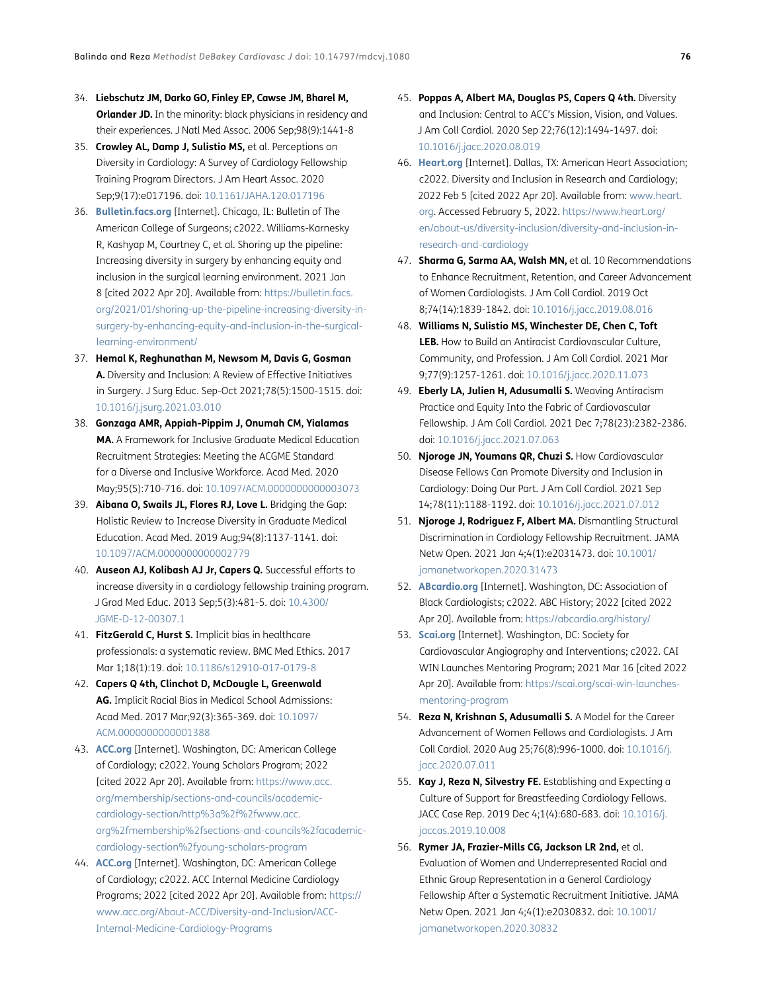- <span id="page-9-0"></span>34. **Liebschutz JM, Darko GO, Finley EP, Cawse JM, Bharel M, Orlander JD.** In the minority: black physicians in residency and their experiences. J Natl Med Assoc. 2006 Sep;98(9):1441-8
- <span id="page-9-1"></span>35. **Crowley AL, Damp J, Sulistio MS,** et al. Perceptions on Diversity in Cardiology: A Survey of Cardiology Fellowship Training Program Directors. J Am Heart Assoc. 2020 Sep;9(17):e017196. doi: [10.1161/JAHA.120.017196](https://doi.org/10.1161/JAHA.120.017196)
- <span id="page-9-2"></span>36. **[Bulletin.facs.org](http://Bulletin.facs.org)** [Internet]. Chicago, IL: Bulletin of The American College of Surgeons; c2022. Williams-Karnesky R, Kashyap M, Courtney C, et al. Shoring up the pipeline: Increasing diversity in surgery by enhancing equity and inclusion in the surgical learning environment. 2021 Jan 8 [cited 2022 Apr 20]. Available from: [https://bulletin.facs.](https://bulletin.facs.org/2021/01/shoring-up-the-pipeline-increasing-diversity-in-surgery-by-enhancing-equity-and-inclusion-in-the-surgical-learning-environment/ ) [org/2021/01/shoring-up-the-pipeline-increasing-diversity-in](https://bulletin.facs.org/2021/01/shoring-up-the-pipeline-increasing-diversity-in-surgery-by-enhancing-equity-and-inclusion-in-the-surgical-learning-environment/ )[surgery-by-enhancing-equity-and-inclusion-in-the-surgical](https://bulletin.facs.org/2021/01/shoring-up-the-pipeline-increasing-diversity-in-surgery-by-enhancing-equity-and-inclusion-in-the-surgical-learning-environment/ )[learning-environment/](https://bulletin.facs.org/2021/01/shoring-up-the-pipeline-increasing-diversity-in-surgery-by-enhancing-equity-and-inclusion-in-the-surgical-learning-environment/ )
- <span id="page-9-3"></span>37. **Hemal K, Reghunathan M, Newsom M, Davis G, Gosman A.** Diversity and Inclusion: A Review of Effective Initiatives in Surgery. J Surg Educ. Sep-Oct 2021;78(5):1500-1515. doi: [10.1016/j.jsurg.2021.03.010](https://doi.org/10.1016/j.jsurg.2021.03.010)
- <span id="page-9-4"></span>38. **Gonzaga AMR, Appiah-Pippim J, Onumah CM, Yialamas MA.** A Framework for Inclusive Graduate Medical Education Recruitment Strategies: Meeting the ACGME Standard for a Diverse and Inclusive Workforce. Acad Med. 2020 May;95(5):710-716. doi: [10.1097/ACM.0000000000003073](https://doi.org/10.1097/ACM.0000000000003073)
- <span id="page-9-5"></span>39. **Aibana O, Swails JL, Flores RJ, Love L.** Bridging the Gap: Holistic Review to Increase Diversity in Graduate Medical Education. Acad Med. 2019 Aug;94(8):1137-1141. doi: [10.1097/ACM.0000000000002779](https://doi.org/10.1097/ACM.0000000000002779)
- <span id="page-9-6"></span>40. **Auseon AJ, Kolibash AJ Jr, Capers Q.** Successful efforts to increase diversity in a cardiology fellowship training program. J Grad Med Educ. 2013 Sep;5(3):481-5. doi: [10.4300/](https://doi.org/10.4300/JGME-D-12-00307.1) [JGME-D-12-00307.1](https://doi.org/10.4300/JGME-D-12-00307.1)
- <span id="page-9-7"></span>41. **FitzGerald C, Hurst S.** Implicit bias in healthcare professionals: a systematic review. BMC Med Ethics. 2017 Mar 1;18(1):19. doi: [10.1186/s12910-017-0179-8](https://doi.org/10.1186/s12910-017-0179-8)
- <span id="page-9-8"></span>42. **Capers Q 4th, Clinchot D, McDougle L, Greenwald AG.** Implicit Racial Bias in Medical School Admissions: Acad Med. 2017 Mar;92(3):365-369. doi: [10.1097/](https://doi.org/10.1097/ACM.0000000000001388) [ACM.0000000000001388](https://doi.org/10.1097/ACM.0000000000001388)
- <span id="page-9-9"></span>43. **[ACC.org](http://ACC.org)** [Internet]. Washington, DC: American College of Cardiology; c2022. Young Scholars Program; 2022 [cited 2022 Apr 20]. Available from: [https://www.acc.](https://www.acc.org/membership/sections-and-councils/academic-cardiology-section/http%3a%2f%2fwww.acc.org%2fmembership%2fsections-and-councils%2facademic-cardiology-section%2fyoung-scholars-program) [org/membership/sections-and-councils/academic](https://www.acc.org/membership/sections-and-councils/academic-cardiology-section/http%3a%2f%2fwww.acc.org%2fmembership%2fsections-and-councils%2facademic-cardiology-section%2fyoung-scholars-program)[cardiology-section/http%3a%2f%2fwww.acc.](https://www.acc.org/membership/sections-and-councils/academic-cardiology-section/http%3a%2f%2fwww.acc.org%2fmembership%2fsections-and-councils%2facademic-cardiology-section%2fyoung-scholars-program) [org%2fmembership%2fsections-and-councils%2facademic](https://www.acc.org/membership/sections-and-councils/academic-cardiology-section/http%3a%2f%2fwww.acc.org%2fmembership%2fsections-and-councils%2facademic-cardiology-section%2fyoung-scholars-program)[cardiology-section%2fyoung-scholars-program](https://www.acc.org/membership/sections-and-councils/academic-cardiology-section/http%3a%2f%2fwww.acc.org%2fmembership%2fsections-and-councils%2facademic-cardiology-section%2fyoung-scholars-program)
- <span id="page-9-10"></span>44. **[ACC.org](http://ACC.org)** [Internet]. Washington, DC: American College of Cardiology; c2022. ACC Internal Medicine Cardiology Programs; 2022 [cited 2022 Apr 20]. Available from: [https://](https://www.acc.org/About-ACC/Diversity-and-Inclusion/ACC-Internal-Medicine-Cardiology-Programs ) [www.acc.org/About-ACC/Diversity-and-Inclusion/ACC-](https://www.acc.org/About-ACC/Diversity-and-Inclusion/ACC-Internal-Medicine-Cardiology-Programs )[Internal-Medicine-Cardiology-Programs](https://www.acc.org/About-ACC/Diversity-and-Inclusion/ACC-Internal-Medicine-Cardiology-Programs )
- <span id="page-9-11"></span>45. **Poppas A, Albert MA, Douglas PS, Capers Q 4th.** Diversity and Inclusion: Central to ACC's Mission, Vision, and Values. J Am Coll Cardiol. 2020 Sep 22;76(12):1494-1497. doi: [10.1016/j.jacc.2020.08.019](https://doi.org/10.1016/j.jacc.2020.08.019)
- <span id="page-9-12"></span>46. **[Heart.org](http://Heart.org)** [Internet]. Dallas, TX: American Heart Association; c2022. Diversity and Inclusion in Research and Cardiology; 2022 Feb 5 [cited 2022 Apr 20]. Available from: [www.heart.](www.heart.org) [org](www.heart.org). Accessed February 5, 2022. [https://www.heart.org/](https://www.heart.org/en/about-us/diversity-inclusion/diversity-and-inclusion-in-research-and-cardiology ) [en/about-us/diversity-inclusion/diversity-and-inclusion-in](https://www.heart.org/en/about-us/diversity-inclusion/diversity-and-inclusion-in-research-and-cardiology )[research-and-cardiology](https://www.heart.org/en/about-us/diversity-inclusion/diversity-and-inclusion-in-research-and-cardiology )
- <span id="page-9-13"></span>47. **Sharma G, Sarma AA, Walsh MN,** et al. 10 Recommendations to Enhance Recruitment, Retention, and Career Advancement of Women Cardiologists. J Am Coll Cardiol. 2019 Oct 8;74(14):1839-1842. doi: [10.1016/j.jacc.2019.08.016](https://doi.org/10.1016/j.jacc.2019.08.016)
- <span id="page-9-14"></span>48. **Williams N, Sulistio MS, Winchester DE, Chen C, Toft LEB.** How to Build an Antiracist Cardiovascular Culture, Community, and Profession. J Am Coll Cardiol. 2021 Mar 9;77(9):1257-1261. doi: [10.1016/j.jacc.2020.11.073](https://doi.org/10.1016/j.jacc.2020.11.073)
- <span id="page-9-15"></span>49. **Eberly LA, Julien H, Adusumalli S.** Weaving Antiracism Practice and Equity Into the Fabric of Cardiovascular Fellowship. J Am Coll Cardiol. 2021 Dec 7;78(23):2382-2386. doi: [10.1016/j.jacc.2021.07.063](https://doi.org/10.1016/j.jacc.2021.07.063)
- <span id="page-9-16"></span>50. **Njoroge JN, Youmans QR, Chuzi S.** How Cardiovascular Disease Fellows Can Promote Diversity and Inclusion in Cardiology: Doing Our Part. J Am Coll Cardiol. 2021 Sep 14;78(11):1188-1192. doi: [10.1016/j.jacc.2021.07.012](https://doi.org/10.1016/j.jacc.2021.07.012)
- <span id="page-9-17"></span>51. **Njoroge J, Rodriguez F, Albert MA.** Dismantling Structural Discrimination in Cardiology Fellowship Recruitment. JAMA Netw Open. 2021 Jan 4;4(1):e2031473. doi: [10.1001/](https://doi.org/10.1001/jamanetworkopen.2020.31473) [jamanetworkopen.2020.31473](https://doi.org/10.1001/jamanetworkopen.2020.31473)
- <span id="page-9-18"></span>52. **[ABcardio.org](http://ABcardio.org)** [Internet]. Washington, DC: Association of Black Cardiologists; c2022. ABC History; 2022 [cited 2022 Apr 20]. Available from: [https://abcardio.org/history/](https://abcardio.org/history/ )
- <span id="page-9-19"></span>53. **[Scai.org](http://Scai.org)** [Internet]. Washington, DC: Society for Cardiovascular Angiography and Interventions; c2022. CAI WIN Launches Mentoring Program; 2021 Mar 16 [cited 2022 Apr 20]. Available from: [https://scai.org/scai-win-launches](https://scai.org/scai-win-launches-mentoring-program)[mentoring-program](https://scai.org/scai-win-launches-mentoring-program)
- <span id="page-9-20"></span>54. **Reza N, Krishnan S, Adusumalli S.** A Model for the Career Advancement of Women Fellows and Cardiologists. J Am Coll Cardiol. 2020 Aug 25;76(8):996-1000. doi: [10.1016/j.](https://doi.org/10.1016/j.jacc.2020.07.011) [jacc.2020.07.011](https://doi.org/10.1016/j.jacc.2020.07.011)
- <span id="page-9-21"></span>55. **Kay J, Reza N, Silvestry FE.** Establishing and Expecting a Culture of Support for Breastfeeding Cardiology Fellows. JACC Case Rep. 2019 Dec 4;1(4):680-683. doi: [10.1016/j.](https://doi.org/10.1016/j.jaccas.2019.10.008) [jaccas.2019.10.008](https://doi.org/10.1016/j.jaccas.2019.10.008)
- <span id="page-9-22"></span>56. **Rymer JA, Frazier-Mills CG, Jackson LR 2nd,** et al. Evaluation of Women and Underrepresented Racial and Ethnic Group Representation in a General Cardiology Fellowship After a Systematic Recruitment Initiative. JAMA Netw Open. 2021 Jan 4;4(1):e2030832. doi: [10.1001/](https://doi.org/10.1001/jamanetworkopen.2020.30832) [jamanetworkopen.2020.30832](https://doi.org/10.1001/jamanetworkopen.2020.30832)